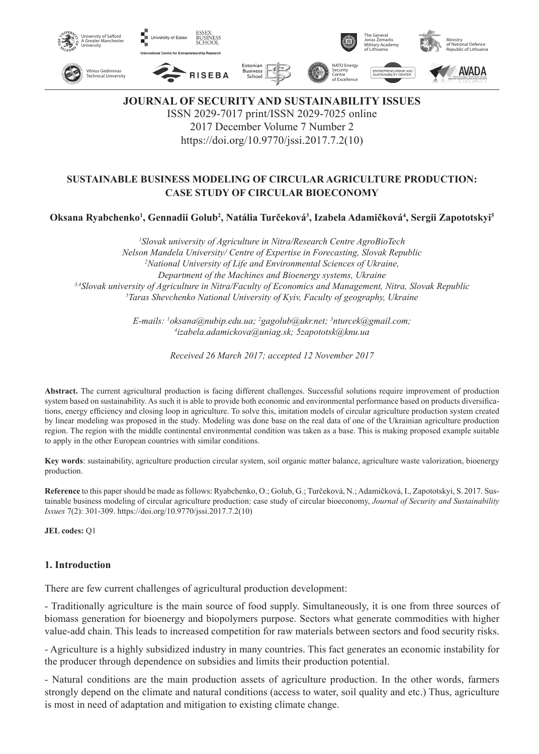

**JOURNAL OF SECURITY AND SUSTAINABILITY ISSUES** ISSN 2029-7017 print/ISSN 2029-7025 online 2017 December Volume 7 Number 2

https://doi.org/10.9770/jssi.2017.7.2(10)

# **SUSTAINABLE BUSINESS MODELING OF CIRCULAR AGRICULTURE PRODUCTION: CASE STUDY OF CIRCULAR BIOECONOMY**

**Oksana Ryabchenko1 , Gennadii Golub2 , Natália Turčeková<sup>3</sup> , Izabela Adamičková<sup>4</sup> , Sergii Zapototskyi5**

*1 Slovak university of Agriculture in Nitra/Research Centre AgroBioTech Nelson Mandela University/ Centre of Expertise in Forecasting, Slovak Republic 2 National University of Life and Environmental Sciences of Ukraine, Department of the Machines and Bioenergy systems, Ukraine 3,4Slovak university of Agriculture in Nitra/Faculty of Economics and Management, Nitra, Slovak Republic 5 Taras Shevchenko National University of Kyiv, Faculty of geography, Ukraine*

> *E-mails: 1 oksana@nubip.edu.ua; 2 gagolub@ukr.net; 3 nturcek@gmail.com; 4 izabela.adamickova@uniag.sk; 5zapototsk@knu.ua*

> > *Received 26 March 2017; accepted 12 November 2017*

**Abstract.** The current agricultural production is facing different challenges. Successful solutions require improvement of production system based on sustainability. As such it is able to provide both economic and environmental performance based on products diversifications, energy efficiency and closing loop in agriculture. To solve this, imitation models of circular agriculture production system created by linear modeling was proposed in the study. Modeling was done base on the real data of one of the Ukrainian agriculture production region. The region with the middle continental environmental condition was taken as a base. This is making proposed example suitable to apply in the other European countries with similar conditions.

**Key words**: sustainability, agriculture production circular system, soil organic matter balance, agriculture waste valorization, bioenergy production.

**Reference** to this paper should be made as follows: Ryabchenko, O.; Golub, G.; Turčeková, N.; Adamičková, I., Zapototskyi, S.2017. Sustainable business modeling of circular agriculture production: case study of circular bioeconomy, *Journal of Security and Sustainability Issues* 7(2): 301-309. https://doi.org/10.9770/jssi.2017.7.2(10)

**JEL codes:** Q1

### **1. Introduction**

There are few current challenges of agricultural production development:

- Traditionally agriculture is the main source of food supply. Simultaneously, it is one from three sources of biomass generation for bioenergy and biopolymers purpose. Sectors what generate commodities with higher value-add chain. This leads to increased competition for raw materials between sectors and food security risks.

- Agriculture is a highly subsidized industry in many countries. This fact generates an economic instability for the producer through dependence on subsidies and limits their production potential.

- Natural conditions are the main production assets of agriculture production. In the other words, farmers strongly depend on the climate and natural conditions (access to water, soil quality and etc.) Thus, agriculture is most in need of adaptation and mitigation to existing climate change.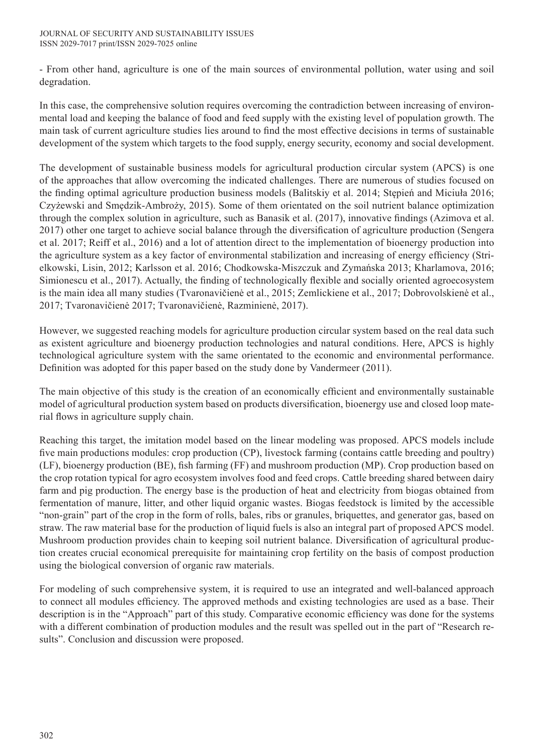- From other hand, agriculture is one of the main sources of environmental pollution, water using and soil degradation.

In this case, the comprehensive solution requires overcoming the contradiction between increasing of environmental load and keeping the balance of food and feed supply with the existing level of population growth. The main task of current agriculture studies lies around to find the most effective decisions in terms of sustainable development of the system which targets to the food supply, energy security, economy and social development.

The development of sustainable business models for agricultural production circular system (APCS) is one of the approaches that allow overcoming the indicated challenges. There are numerous of studies focused on the finding optimal agriculture production business models (Balitskiy et al. 2014; Stępień and Miciuła 2016; Czyżewski and Smędzik-Ambroży, 2015). Some of them orientated on the soil nutrient balance optimization through the complex solution in agriculture, such as Banasik et al. (2017), innovative findings (Azimova et al. 2017) other one target to achieve social balance through the diversification of agriculture production (Sengera et al. 2017; Reiff et al., 2016) and a lot of attention direct to the implementation of bioenergy production into the agriculture system as a key factor of environmental stabilization and increasing of energy efficiency (Strielkowski, Lisin, 2012; Karlsson et al. 2016; Chodkowska-Miszczuk and Zymańska 2013; Kharlamova, 2016; Simionescu et al., 2017). Actually, the finding of technologically flexible and socially oriented agroecosystem is the main idea all many studies (Tvaronavičienė et al., 2015; Zemlickiene et al., 2017; Dobrovolskienė et al., 2017; Tvaronavičienė 2017; Tvaronavičienė, Razminienė, 2017).

However, we suggested reaching models for agriculture production circular system based on the real data such as existent agriculture and bioenergy production technologies and natural conditions. Here, APCS is highly technological agriculture system with the same orientated to the economic and environmental performance. Definition was adopted for this paper based on the study done by Vandermeer (2011).

The main objective of this study is the creation of an economically efficient and environmentally sustainable model of agricultural production system based on products diversification, bioenergy use and closed loop material flows in agriculture supply chain.

Reaching this target, the imitation model based on the linear modeling was proposed. APCS models include five main productions modules: crop production (CP), livestock farming (contains cattle breeding and poultry) (LF), bioenergy production (BE), fish farming (FF) and mushroom production (MP). Crop production based on the crop rotation typical for agro ecosystem involves food and feed crops. Cattle breeding shared between dairy farm and pig production. The energy base is the production of heat and electricity from biogas obtained from fermentation of manure, litter, and other liquid organic wastes. Biogas feedstock is limited by the accessible "non-grain" part of the crop in the form of rolls, bales, ribs or granules, briquettes, and generator gas, based on straw. The raw material base for the production of liquid fuels is also an integral part of proposed APCS model. Mushroom production provides chain to keeping soil nutrient balance. Diversification of agricultural production creates crucial economical prerequisite for maintaining crop fertility on the basis of compost production using the biological conversion of organic raw materials.

For modeling of such comprehensive system, it is required to use an integrated and well-balanced approach to connect all modules efficiency. The approved methods and existing technologies are used as a base. Their description is in the "Approach" part of this study. Comparative economic efficiency was done for the systems with a different combination of production modules and the result was spelled out in the part of "Research results". Conclusion and discussion were proposed.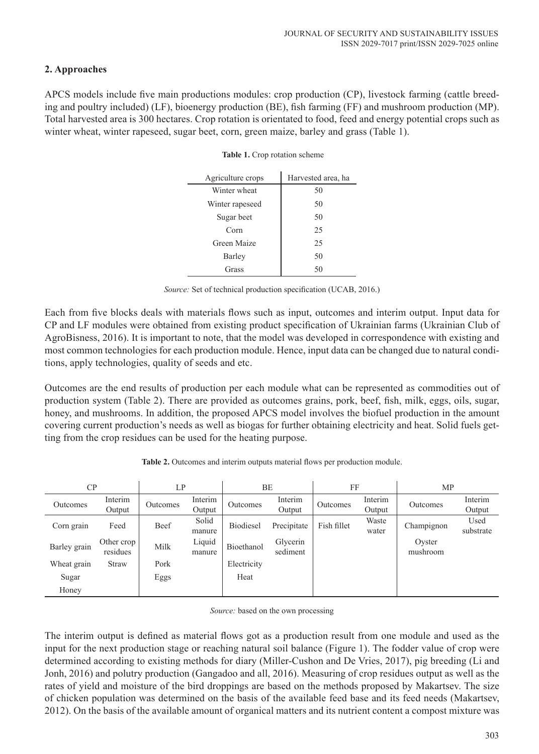## **2. Approaches**

APCS models include five main productions modules: crop production (CP), livestock farming (cattle breeding and poultry included) (LF), bioenergy production (BE), fish farming (FF) and mushroom production (MP). Total harvested area is 300 hectares. Crop rotation is orientated to food, feed and energy potential crops such as winter wheat, winter rapeseed, sugar beet, corn, green maize, barley and grass (Table 1).

| Agriculture crops | Harvested area, ha |  |  |
|-------------------|--------------------|--|--|
| Winter wheat      | 50                 |  |  |
| Winter rapeseed   | 50                 |  |  |
| Sugar beet        | 50                 |  |  |
| Corn              | 25                 |  |  |
| Green Maize       | 25                 |  |  |
| Barley            | 50                 |  |  |
| Grass             | 50                 |  |  |

#### **Table 1.** Crop rotation scheme

*Source:* Set of technical production specification (UCAB, 2016.)

Each from five blocks deals with materials flows such as input, outcomes and interim output. Input data for CP and LF modules were obtained from existing product specification of Ukrainian farms (Ukrainian Club of AgroBisness, 2016). It is important to note, that the model was developed in correspondence with existing and most common technologies for each production module. Hence, input data can be changed due to natural conditions, apply technologies, quality of seeds and etc.

Outcomes are the end results of production per each module what can be represented as commodities out of production system (Table 2). There are provided as outcomes grains, pork, beef, fish, milk, eggs, oils, sugar, honey, and mushrooms. In addition, the proposed APCS model involves the biofuel production in the amount covering current production's needs as well as biogas for further obtaining electricity and heat. Solid fuels getting from the crop residues can be used for the heating purpose.

| CP           |                        | LP       |                   | BE               |                      | FF          |                   | MP                 |                   |
|--------------|------------------------|----------|-------------------|------------------|----------------------|-------------|-------------------|--------------------|-------------------|
| Outcomes     | Interim<br>Output      | Outcomes | Interim<br>Output | Outcomes         | Interim<br>Output    | Outcomes    | Interim<br>Output | Outcomes           | Interim<br>Output |
| Corn grain   | Feed                   | Beef     | Solid<br>manure   | <b>Biodiesel</b> | Precipitate          | Fish fillet | Waste<br>water    | Champignon         | Used<br>substrate |
| Barley grain | Other crop<br>residues | Milk     | Liquid<br>manure  | Bioethanol       | Glycerin<br>sediment |             |                   | Oyster<br>mushroom |                   |
| Wheat grain  | <b>Straw</b>           | Pork     |                   | Electricity      |                      |             |                   |                    |                   |
| Sugar        |                        | Eggs     |                   | Heat             |                      |             |                   |                    |                   |
| Honey        |                        |          |                   |                  |                      |             |                   |                    |                   |

**Table 2.** Outcomes and interim outputs material flows per production module.

*Source:* based on the own processing

The interim output is defined as material flows got as a production result from one module and used as the input for the next production stage or reaching natural soil balance (Figure 1). The fodder value of crop were determined according to existing methods for diary (Miller-Cushon and De Vries, 2017), pig breeding (Li and Jonh, 2016) and polutry production (Gangadoo and all, 2016). Measuring of crop residues output as well as the rates of yield and moisture of the bird droppings are based on the methods proposed by Makartsev. The size of chicken population was determined on the basis of the available feed base and its feed needs (Makartsev, 2012). On the basis of the available amount of organical matters and its nutrient content a compost mixture was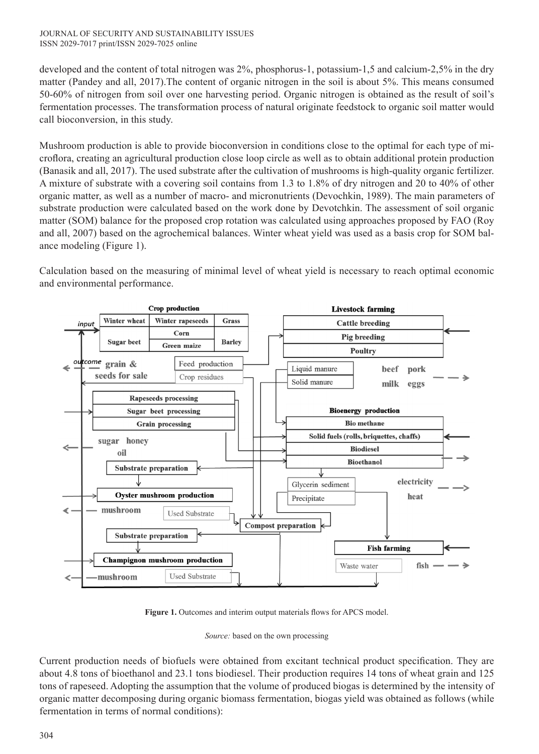developed and the content of total nitrogen was 2%, phosphorus-1, potassium-1,5 and calcium-2,5% in the dry matter (Pandey and all, 2017).The content of organic nitrogen in the soil is about 5%. This means consumed 50-60% of nitrogen from soil over one harvesting period. Organic nitrogen is obtained as the result of soil's fermentation processes. The transformation process of natural originate feedstock to organic soil matter would call bioconversion, in this study.

Mushroom production is able to provide bioconversion in conditions close to the optimal for each type of microflora, creating an agricultural production close loop circle as well as to obtain additional protein production (Banasik and all, 2017). The used substrate after the cultivation of mushrooms is high-quality organic fertilizer. A mixture of substrate with a covering soil contains from 1.3 to 1.8% of dry nitrogen and 20 to 40% of other organic matter, as well as a number of macro- and micronutrients (Devochkin, 1989). The main parameters of substrate production were calculated based on the work done by Devotchkin. The assessment of soil organic matter (SOM) balance for the proposed crop rotation was calculated using approaches proposed by FAO (Roy and all, 2007) based on the agrochemical balances. Winter wheat yield was used as a basis crop for SOM balance modeling (Figure 1).

Calculation based on the measuring of minimal level of wheat yield is necessary to reach optimal economic and environmental performance.



**Figure 1.** Outcomes and interim output materials flows for APCS model.

*Source:* based on the own processing

Current production needs of biofuels were obtained from excitant technical product specification. They are about 4.8 tons of bioethanol and 23.1 tons biodiesel. Their production requires 14 tons of wheat grain and 125 tons of rapeseed. Adopting the assumption that the volume of produced biogas is determined by the intensity of organic matter decomposing during organic biomass fermentation, biogas yield was obtained as follows (while fermentation in terms of normal conditions):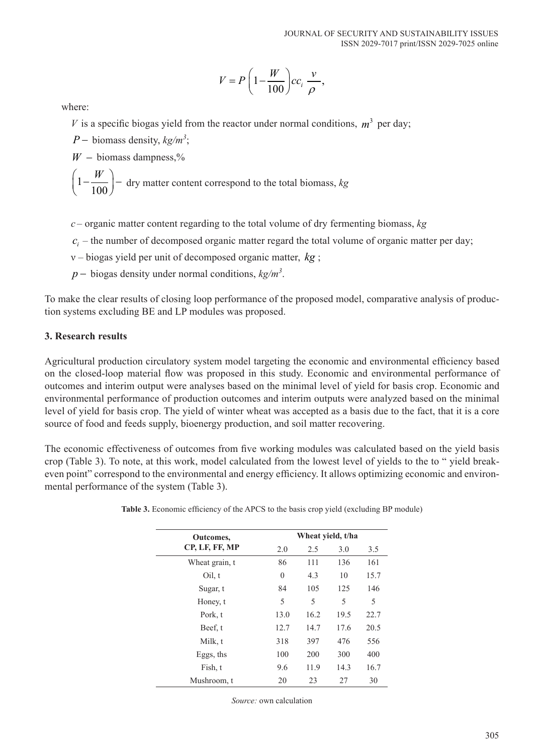$$
V = P\left(1 - \frac{W}{100}\right)cc_i \frac{v}{\rho},
$$

where:

*V* is a specific biogas yield from the reactor under normal conditions,  $m^3$  per day;

*P* − biomass density, *kg*/*m*<sup>3</sup>;

 $W -$  biomass dampness,%

$$
\left(1 - \frac{W}{100}\right)
$$
 - dry matter content correspond to the total biomass, *kg*

- *c* organic matter content regarding to the total volume of dry fermenting biomass, *kg*
- $c_i$  the number of decomposed organic matter regard the total volume of organic matter per day;
- ν biogas yield per unit of decomposed organic matter, *kg* ;
- *p* − biogas density under normal conditions,  $kg/m<sup>3</sup>$ .

To make the clear results of closing loop performance of the proposed model, comparative analysis of production systems excluding BE and LP modules was proposed.

### **3. Research results**

Agricultural production circulatory system model targeting the economic and environmental efficiency based on the closed-loop material flow was proposed in this study. Economic and environmental performance of outcomes and interim output were analyses based on the minimal level of yield for basis crop. Economic and environmental performance of production outcomes and interim outputs were analyzed based on the minimal level of yield for basis crop. The yield of winter wheat was accepted as a basis due to the fact, that it is a core source of food and feeds supply, bioenergy production, and soil matter recovering.

The economic effectiveness of outcomes from five working modules was calculated based on the yield basis crop (Table 3). To note, at this work, model calculated from the lowest level of yields to the to " yield breakeven point" correspond to the environmental and energy efficiency. It allows optimizing economic and environmental performance of the system (Table 3).

| Outcomes,      |          | Wheat yield, t/ha |      |      |  |  |  |
|----------------|----------|-------------------|------|------|--|--|--|
| CP, LF, FF, MP | 2.0      | 2.5               | 3.0  | 3.5  |  |  |  |
| Wheat grain, t | 86       | 111               | 136  | 161  |  |  |  |
| Oil, t         | $\theta$ | 4.3               | 10   | 15.7 |  |  |  |
| Sugar, t       | 84       | 105               | 125  | 146  |  |  |  |
| Honey, t       | 5        | 5                 | 5    | 5    |  |  |  |
| Pork, t        | 13.0     | 16.2              | 19.5 | 22.7 |  |  |  |
| Beef, t        | 12.7     | 14.7              | 17.6 | 20.5 |  |  |  |
| Milk, t        | 318      | 397               | 476  | 556  |  |  |  |
| Eggs, ths      | 100      | 200               | 300  | 400  |  |  |  |
| Fish, t        | 9.6      | 11.9              | 14.3 | 16.7 |  |  |  |
| Mushroom, t    | 20       | 23                | 27   | 30   |  |  |  |

|  | Table 3. Economic efficiency of the APCS to the basis crop yield (excluding BP module) |
|--|----------------------------------------------------------------------------------------|
|  |                                                                                        |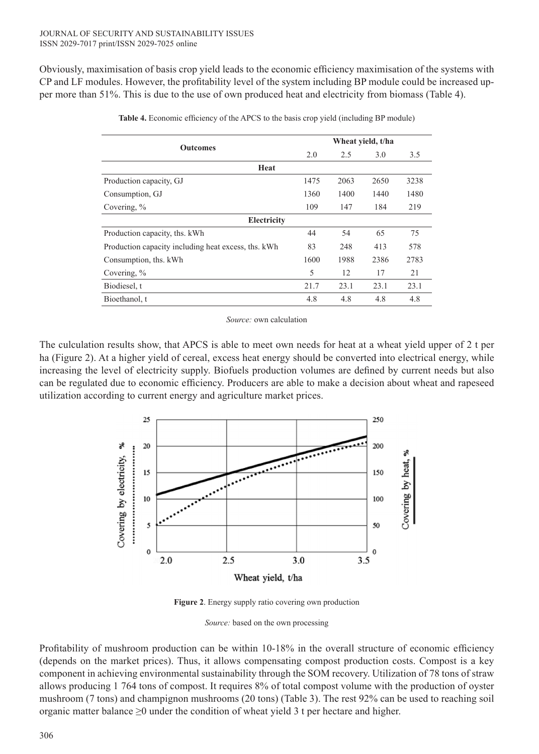Obviously, maximisation of basis crop yield leads to the economic efficiency maximisation of the systems with CP and LF modules. However, the profitability level of the system including BP module could be increased upper more than 51%. This is due to the use of own produced heat and electricity from biomass (Table 4).

| <b>Outcomes</b>                                     | Wheat yield, t/ha |      |      |      |  |  |  |
|-----------------------------------------------------|-------------------|------|------|------|--|--|--|
|                                                     | 2.0               | 2.5  | 3.0  | 3.5  |  |  |  |
| Heat                                                |                   |      |      |      |  |  |  |
| Production capacity, GJ                             | 1475              | 2063 | 2650 | 3238 |  |  |  |
| Consumption, GJ                                     | 1360              | 1400 | 1440 | 1480 |  |  |  |
| Covering, $\%$                                      | 109               | 147  | 184  | 219  |  |  |  |
| Electricity                                         |                   |      |      |      |  |  |  |
| Production capacity, ths. kWh                       | 44                | 54   | 65   | 75   |  |  |  |
| Production capacity including heat excess, ths. kWh | 83                | 248  | 413  | 578  |  |  |  |
| Consumption, ths. kWh                               | 1600              | 1988 | 2386 | 2783 |  |  |  |
| Covering, %                                         | 5                 | 12   | 17   | 21   |  |  |  |
| Biodiesel, t                                        | 21.7              | 23.1 | 23.1 | 23.1 |  |  |  |
| Bioethanol, t                                       | 4.8               | 4.8  | 4.8  | 4.8  |  |  |  |

**Table 4.** Economic efficiency of the APCS to the basis crop yield (including BP module)

*Source:* own calculation

The culculation results show, that APCS is able to meet own needs for heat at a wheat yield upper of 2 t per ha (Figure 2). At a higher yield of cereal, excess heat energy should be converted into electrical energy, while increasing the level of electricity supply. Biofuels production volumes are defined by current needs but also can be regulated due to economic efficiency. Producers are able to make a decision about wheat and rapeseed utilization according to current energy and agriculture market prices.



**Figure 2**. Energy supply ratio covering own production

Profitability of mushroom production can be within 10-18% in the overall structure of economic efficiency (depends on the market prices). Thus, it allows compensating compost production costs. Compost is a key component in achieving environmental sustainability through the SOM recovery. Utilization of 78 tons of straw allows producing 1 764 tons of compost. It requires 8% of total compost volume with the production of oyster mushroom (7 tons) and champignon mushrooms (20 tons) (Table 3). The rest 92% can be used to reaching soil organic matter balance  $\geq 0$  under the condition of wheat yield 3 t per hectare and higher.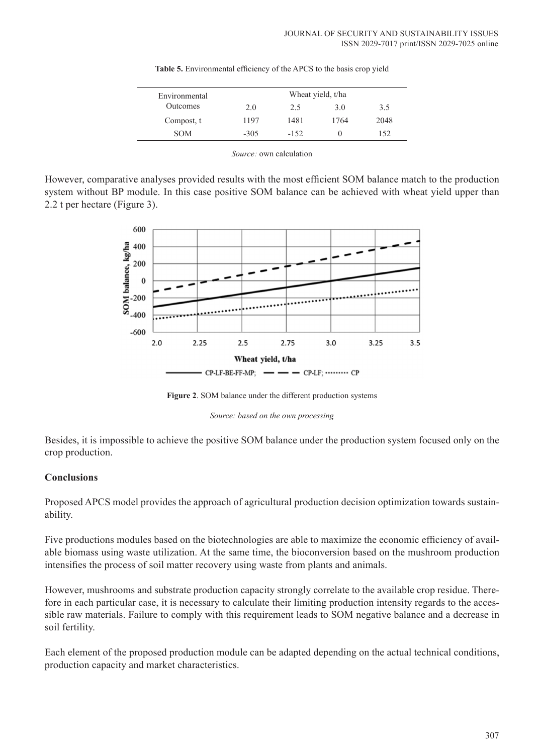| Wheat yield, t/ha |        |      |      |  |
|-------------------|--------|------|------|--|
| 2.0               | 2.5    | 3.0  | 3.5  |  |
| 1197              | 1481   | 1764 | 2048 |  |
| $-305$            | $-152$ | 0    | 152  |  |
|                   |        |      |      |  |

**Table 5.** Environmental efficiency of the APCS to the basis crop yield

*Source:* own calculation

However, comparative analyses provided results with the most efficient SOM balance match to the production system without BP module. In this case positive SOM balance can be achieved with wheat yield upper than 2.2 t per hectare (Figure 3).



**Figure 2**. SOM balance under the different production systems

*Source: based on the own processing*

Besides, it is impossible to achieve the positive SOM balance under the production system focused only on the crop production.

### **Conclusions**

Proposed APCS model provides the approach of agricultural production decision optimization towards sustainability.

Five productions modules based on the biotechnologies are able to maximize the economic efficiency of available biomass using waste utilization. At the same time, the bioconversion based on the mushroom production intensifies the process of soil matter recovery using waste from plants and animals.

However, mushrooms and substrate production capacity strongly correlate to the available crop residue. Therefore in each particular case, it is necessary to calculate their limiting production intensity regards to the accessible raw materials. Failure to comply with this requirement leads to SOM negative balance and a decrease in soil fertility.

Each element of the proposed production module can be adapted depending on the actual technical conditions, production capacity and market characteristics.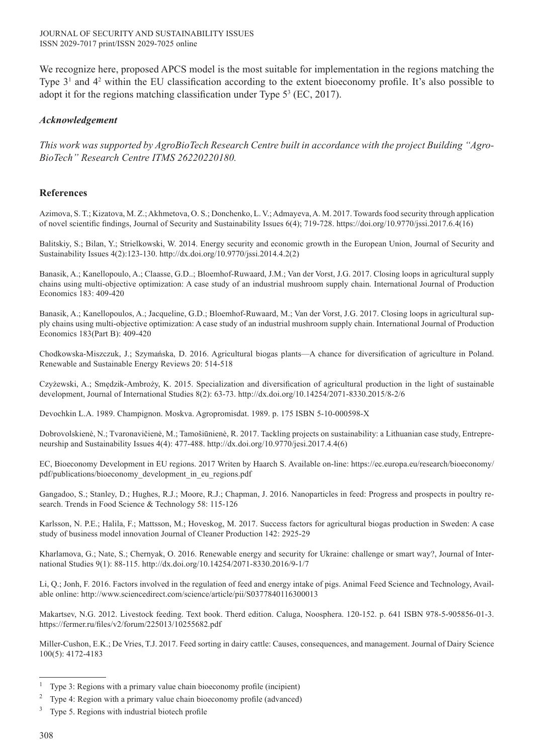We recognize here, proposed APCS model is the most suitable for implementation in the regions matching the Type 3<sup>1</sup> and 4<sup>2</sup> within the EU classification according to the extent bioeconomy profile. It's also possible to adopt it for the regions matching classification under Type  $5^3$  (EC, 2017).

### *Acknowledgement*

*This work was supported by AgroBioTech Research Centre built in accordance with the project Building "Agro-BioTech" Research Centre ITMS 26220220180.* 

#### **References**

Azimova, S. T.; Kizatova, M. Z.; Akhmetova, O. S.; Donchenko, L. V.; Admayeva, A. M. 2017. Towards food security through application of novel scientific findings, Journal of Security and Sustainability Issues 6(4); 719-728. https://doi.org/10.9770/jssi.2017.6.4(16)

Balitskiy, S.; Bilan, Y.; Strielkowski, W. 2014. Energy security and economic growth in the European Union, Journal of Security and Sustainability Issues 4(2):123-130. http://dx.doi.org/10.9770/jssi.2014.4.2(2)

Banasik, A.; Kanellopoulo, A.; Claasse, G.D..; Bloemhof-Ruwaard, J.M.; Van der Vorst, J.G. 2017. Closing loops in agricultural supply chains using multi-objective optimization: A case study of an industrial mushroom supply chain. International Journal of Production Economics 183: 409-420

Banasik, A.; Kanellopoulos, A.; Jacqueline, G.D.; Bloemhof-Ruwaard, M.; Van der Vorst, J.G. 2017. Closing loops in agricultural supply chains using multi-objective optimization: A case study of an industrial mushroom supply chain. International Journal of Production Economics 183(Part B): 409-420

Chodkowska-Miszczuk, J.; Szymańska, D. 2016. Agricultural biogas plants—A chance for diversification of agriculture in Poland. Renewable and Sustainable Energy Reviews 20: 514-518

Czyżewski, A.; Smędzik-Ambroży, K. 2015. Specialization and diversification of agricultural production in the light of sustainable development, Journal of International Studies 8(2): 63-73. http://dx.doi.org/10.14254/2071-8330.2015/8-2/6

Devochkin L.A. 1989. Champignon. Moskva. Agropromisdat. 1989. p. 175 ISBN 5-10-000598-X

Dobrovolskienė, N.; Tvaronavičienė, M.; Tamošiūnienė, R. 2017. Tackling projects on sustainability: a Lithuanian case study, Entrepreneurship and Sustainability Issues 4(4): 477-488. http://dx.doi.org/10.9770/jesi.2017.4.4(6)

EC, Bioeconomy Development in EU regions. 2017 Writen by Haarch S. Available on-line: https://ec.europa.eu/research/bioeconomy/ pdf/publications/bioeconomy\_development\_in\_eu\_regions.pdf

Gangadoo, S.; Stanley, D.; Hughes, R.J.; Moore, R.J.; Chapman, J. 2016. Nanoparticles in feed: Progress and prospects in poultry research. Trends in Food Science & Technology 58: 115-126

Karlsson, N. P.E.; Halila, F.; Mattsson, M.; Hoveskog, M. 2017. Success factors for agricultural biogas production in Sweden: A case study of business model innovation Journal of Cleaner Production 142: 2925-29

Kharlamova, G.; Nate, S.; Chernyak, O. 2016. Renewable energy and security for Ukraine: challenge or smart way?, Journal of International Studies 9(1): 88-115. http://dx.doi.org/10.14254/2071-8330.2016/9-1/7

Li, Q.; Jonh, F. 2016. Factors involved in the regulation of feed and energy intake of pigs. Animal Feed Science and Technology, Available online: http://www.sciencedirect.com/science/article/pii/S0377840116300013

Makartsev, N.G. 2012. Livestock feeding. Text book. Therd edition. Caluga, Noosphera. 120-152. p. 641 ISBN 978-5-905856-01-3. https://fermer.ru/files/v2/forum/225013/10255682.pdf

Miller-Cushon, E.K.; De Vries, T.J. 2017. Feed sorting in dairy cattle: Causes, consequences, and management. Journal of Dairy Science 100(5): 4172-4183

<sup>&</sup>lt;sup>1</sup> Type 3: Regions with a primary value chain bioeconomy profile (incipient)

<sup>&</sup>lt;sup>2</sup> Type 4: Region with a primary value chain bioeconomy profile (advanced)

 $3$  Type 5. Regions with industrial biotech profile